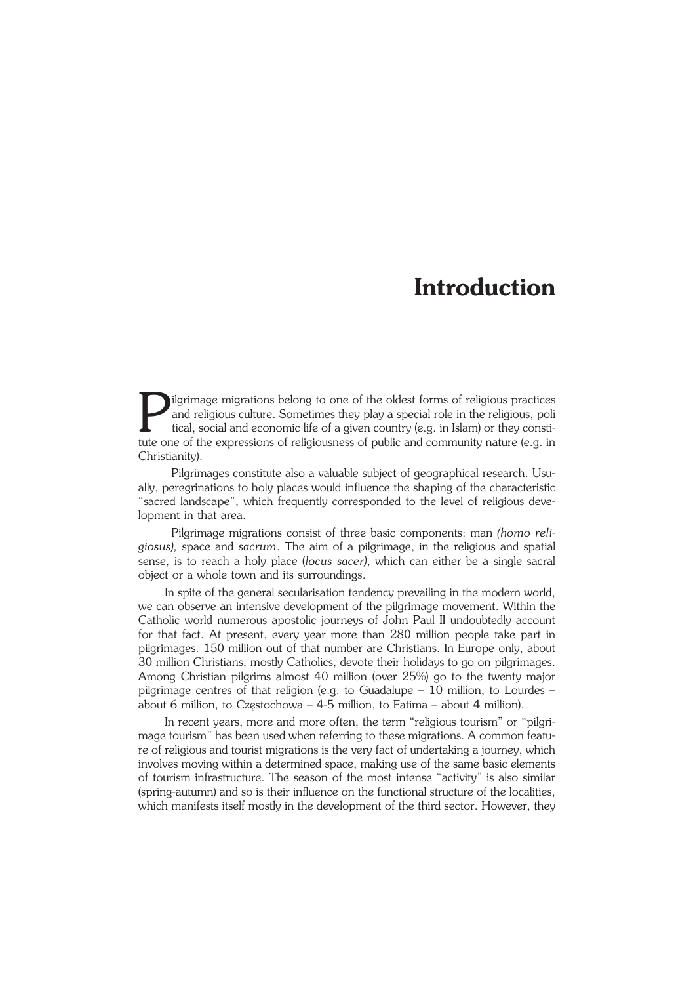## **Introduction**

**Following Schools** in the oldest forms of religious practices and religious culture. Sometimes they play a special role in the religious, political, social and economic life of a given country (e.g. in Islam) or they cons ilgrimage migrations belong to one of the oldest forms of religious practices and religious culture. Sometimes they play a special role in the religious, poli tical, social and economic life of a given country (e.g. in Islam) or they consti− Christianity).

Pilgrimages constitute also a valuable subject of geographical research. Usually, peregrinations to holy places would influence the shaping of the characteristic "sacred landscape", which frequently corresponded to the level of religious deve− lopment in that area.

Pilgrimage migrations consist of three basic components: man *(homo reli− giosus),* space and *sacrum*. The aim of a pilgrimage, in the religious and spatial sense, is to reach a holy place (*locus sacer)*, which can either be a single sacral object or a whole town and its surroundings.

In spite of the general secularisation tendency prevailing in the modern world, we can observe an intensive development of the pilgrimage movement. Within the Catholic world numerous apostolic journeys of John Paul II undoubtedly account for that fact. At present, every year more than 280 million people take part in pilgrimages. 150 million out of that number are Christians. In Europe only, about 30 million Christians, mostly Catholics, devote their holidays to go on pilgrimages. Among Christian pilgrims almost 40 million (over 25%) go to the twenty major pilgrimage centres of that religion (e.g. to Guadalupe – 10 million, to Lourdes – about 6 million, to Częstochowa – 4−5 million, to Fatima – about 4 million).

In recent years, more and more often, the term "religious tourism" or "pilgri− mage tourism" has been used when referring to these migrations. A common featu− re of religious and tourist migrations is the very fact of undertaking a journey, which involves moving within a determined space, making use of the same basic elements of tourism infrastructure. The season of the most intense "activity" is also similar (spring−autumn) and so is their influence on the functional structure of the localities, which manifests itself mostly in the development of the third sector. However, they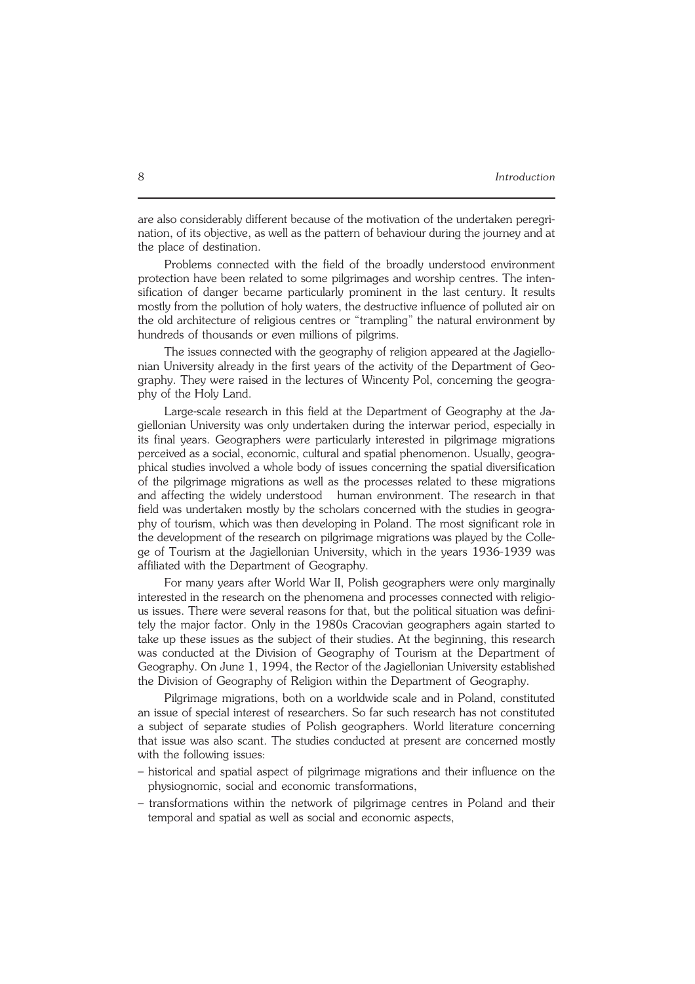are also considerably different because of the motivation of the undertaken peregri− nation, of its objective, as well as the pattern of behaviour during the journey and at the place of destination.

Problems connected with the field of the broadly understood environment protection have been related to some pilgrimages and worship centres. The inten− sification of danger became particularly prominent in the last century. It results mostly from the pollution of holy waters, the destructive influence of polluted air on the old architecture of religious centres or "trampling" the natural environment by hundreds of thousands or even millions of pilgrims.

The issues connected with the geography of religion appeared at the Jagiello− nian University already in the first years of the activity of the Department of Geo− graphy. They were raised in the lectures of Wincenty Pol, concerning the geogra− phy of the Holy Land.

Large−scale research in this field at the Department of Geography at the Ja− giellonian University was only undertaken during the interwar period, especially in its final years. Geographers were particularly interested in pilgrimage migrations perceived as a social, economic, cultural and spatial phenomenon. Usually, geogra− phical studies involved a whole body of issues concerning the spatial diversification of the pilgrimage migrations as well as the processes related to these migrations and affecting the widely understood human environment. The research in that field was undertaken mostly by the scholars concerned with the studies in geography of tourism, which was then developing in Poland. The most significant role in the development of the research on pilgrimage migrations was played by the Colle− ge of Tourism at the Jagiellonian University, which in the years 1936−1939 was affiliated with the Department of Geography.

For many years after World War II, Polish geographers were only marginally interested in the research on the phenomena and processes connected with religio− us issues. There were several reasons for that, but the political situation was defini− tely the major factor. Only in the 1980s Cracovian geographers again started to take up these issues as the subject of their studies. At the beginning, this research was conducted at the Division of Geography of Tourism at the Department of Geography. On June 1, 1994, the Rector of the Jagiellonian University established the Division of Geography of Religion within the Department of Geography.

Pilgrimage migrations, both on a worldwide scale and in Poland, constituted an issue of special interest of researchers. So far such research has not constituted a subject of separate studies of Polish geographers. World literature concerning that issue was also scant. The studies conducted at present are concerned mostly with the following issues:

- historical and spatial aspect of pilgrimage migrations and their influence on the physiognomic, social and economic transformations,
- transformations within the network of pilgrimage centres in Poland and their temporal and spatial as well as social and economic aspects,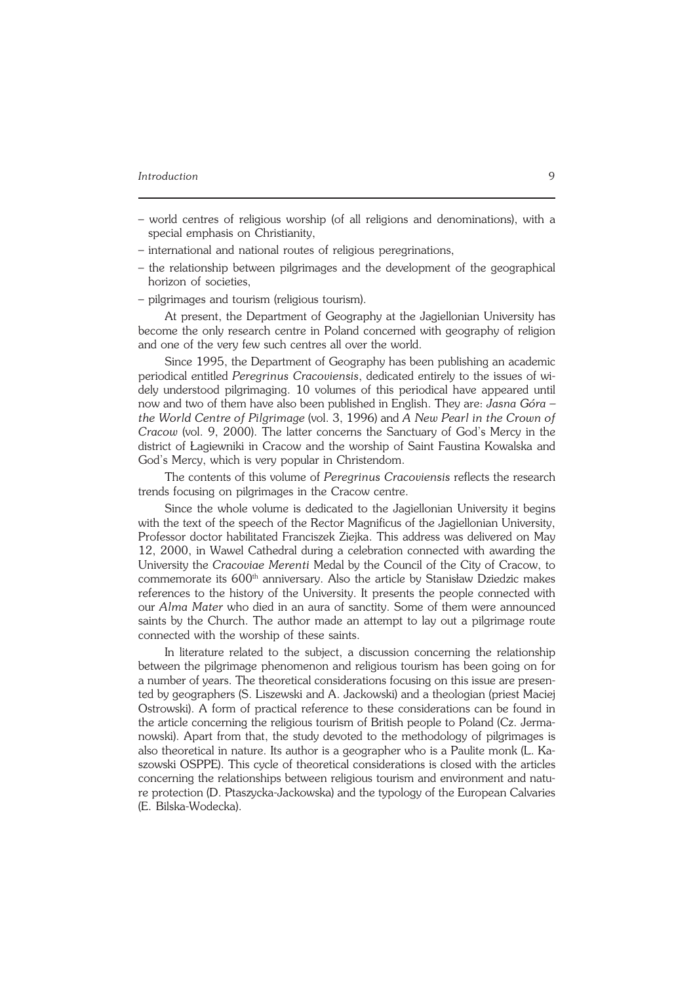## *Introduction* 9

- world centres of religious worship (of all religions and denominations), with a special emphasis on Christianity,
- international and national routes of religious peregrinations,
- the relationship between pilgrimages and the development of the geographical horizon of societies,
- pilgrimages and tourism (religious tourism).

At present, the Department of Geography at the Jagiellonian University has become the only research centre in Poland concerned with geography of religion and one of the very few such centres all over the world.

Since 1995, the Department of Geography has been publishing an academic periodical entitled *Peregrinus Cracoviensis*, dedicated entirely to the issues of wi− dely understood pilgrimaging. 10 volumes of this periodical have appeared until now and two of them have also been published in English. They are: *Jasna Góra – the World Centre of Pilgrimage* (vol. 3, 1996) and *A New Pearl in the Crown of Cracow* (vol. 9, 2000). The latter concerns the Sanctuary of God's Mercy in the district of Łagiewniki in Cracow and the worship of Saint Faustina Kowalska and God's Mercy, which is very popular in Christendom.

The contents of this volume of *Peregrinus Cracoviensis* reflects the research trends focusing on pilgrimages in the Cracow centre.

Since the whole volume is dedicated to the Jagiellonian University it begins with the text of the speech of the Rector Magnificus of the Jagiellonian University, Professor doctor habilitated Franciszek Ziejka. This address was delivered on May 12, 2000, in Wawel Cathedral during a celebration connected with awarding the University the *Cracoviae Merenti* Medal by the Council of the City of Cracow, to commemorate its 600<sup>th</sup> anniversary. Also the article by Stanisław Dziedzic makes references to the history of the University. It presents the people connected with our *Alma Mater* who died in an aura of sanctity. Some of them were announced saints by the Church. The author made an attempt to lay out a pilgrimage route connected with the worship of these saints.

In literature related to the subject, a discussion concerning the relationship between the pilgrimage phenomenon and religious tourism has been going on for a number of years. The theoretical considerations focusing on this issue are presen− ted by geographers (S. Liszewski and A. Jackowski) and a theologian (priest Maciej Ostrowski). A form of practical reference to these considerations can be found in the article concerning the religious tourism of British people to Poland (Cz. Jerma− nowski). Apart from that, the study devoted to the methodology of pilgrimages is also theoretical in nature. Its author is a geographer who is a Paulite monk (L.Ka− szowski OSPPE). This cycle of theoretical considerations is closed with the articles concerning the relationships between religious tourism and environment and natu− re protection (D. Ptaszycka−Jackowska) and the typology of the European Calvaries (E. Bilska−Wodecka).